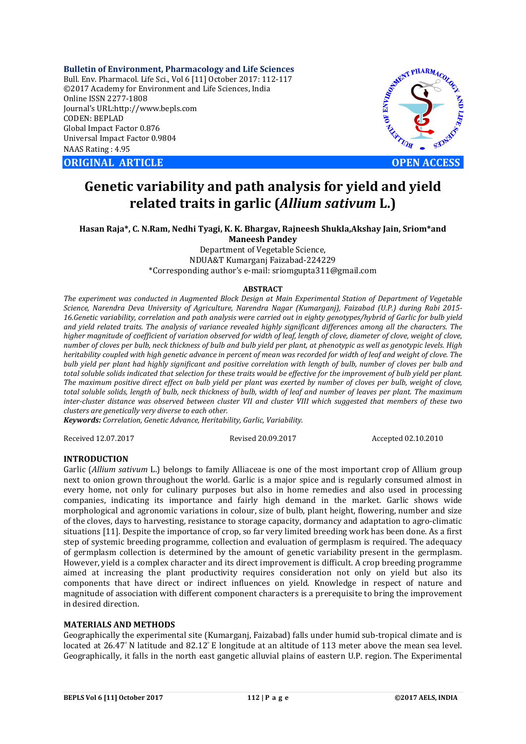**Bulletin of Environment, Pharmacology and Life Sciences** Bull. Env. Pharmacol. Life Sci., Vol 6 [11] October 2017: 112-117 ©2017 Academy for Environment and Life Sciences, India Online ISSN 2277-1808 Journal's URL:http://www.bepls.com CODEN: BEPLAD Global Impact Factor 0.876 Universal Impact Factor 0.9804 NAAS Rating : 4.95

**ORIGINAL ARTICLE OPEN ACCESS** 



# **Genetic variability and path analysis for yield and yield related traits in garlic (***Allium sativum* **L.)**

**Hasan Raja\*, C. N.Ram, Nedhi Tyagi, K. K. Bhargav, Rajneesh Shukla,Akshay Jain, Sriom\*and Maneesh Pandey**

Department of Vegetable Science, NDUA&T Kumarganj Faizabad-224229 \*Corresponding author's e-mail: sriomgupta311@gmail.com

#### **ABSTRACT**

*The experiment was conducted in Augmented Block Design at Main Experimental Station of Department of Vegetable Science, Narendra Deva University of Agriculture, Narendra Nagar (Kumarganj), Faizabad (U.P.) during Rabi 2015- 16.Genetic variability, correlation and path analysis were carried out in eighty genotypes/hybrid of Garlic for bulb yield and yield related traits. The analysis of variance revealed highly significant differences among all the characters. The higher magnitude of coefficient of variation observed for width of leaf, length of clove, diameter of clove, weight of clove, number of cloves per bulb, neck thickness of bulb and bulb yield per plant, at phenotypic as well as genotypic levels. High heritability coupled with high genetic advance in percent of mean was recorded for width of leaf and weight of clove. The bulb yield per plant had highly significant and positive correlation with length of bulb, number of cloves per bulb and total soluble solids indicated that selection for these traits would be effective for the improvement of bulb yield per plant. The maximum positive direct effect on bulb yield per plant was exerted by number of cloves per bulb, weight of clove, total soluble solids, length of bulb, neck thickness of bulb, width of leaf and number of leaves per plant. The maximum inter-cluster distance was observed between cluster VII and cluster VIII which suggested that members of these two clusters are genetically very diverse to each other.*

*Keywords: Correlation, Genetic Advance, Heritability, Garlic, Variability.*

Received 12.07.2017 Revised 20.09.2017 Accepted 02.10.2010

# **INTRODUCTION**

Garlic (*Allium sativum* L.) belongs to family Alliaceae is one of the most important crop of Allium group next to onion grown throughout the world. Garlic is a major spice and is regularly consumed almost in every home, not only for culinary purposes but also in home remedies and also used in processing companies, indicating its importance and fairly high demand in the market. Garlic shows wide morphological and agronomic variations in colour, size of bulb, plant height, flowering, number and size of the cloves, days to harvesting, resistance to storage capacity, dormancy and adaptation to agro-climatic situations [11]. Despite the importance of crop, so far very limited breeding work has been done. As a first step of systemic breeding programme, collection and evaluation of germplasm is required. The adequacy of germplasm collection is determined by the amount of genetic variability present in the germplasm. However, yield is a complex character and its direct improvement is difficult. A crop breeding programme aimed at increasing the plant productivity requires consideration not only on yield but also its components that have direct or indirect influences on yield. Knowledge in respect of nature and magnitude of association with different component characters is a prerequisite to bring the improvement in desired direction.

## **MATERIALS AND METHODS**

Geographically the experimental site (Kumarganj, Faizabad) falls under humid sub-tropical climate and is located at 26.47° N latitude and 82.12° E longitude at an altitude of 113 meter above the mean sea level. Geographically, it falls in the north east gangetic alluvial plains of eastern U.P. region. The Experimental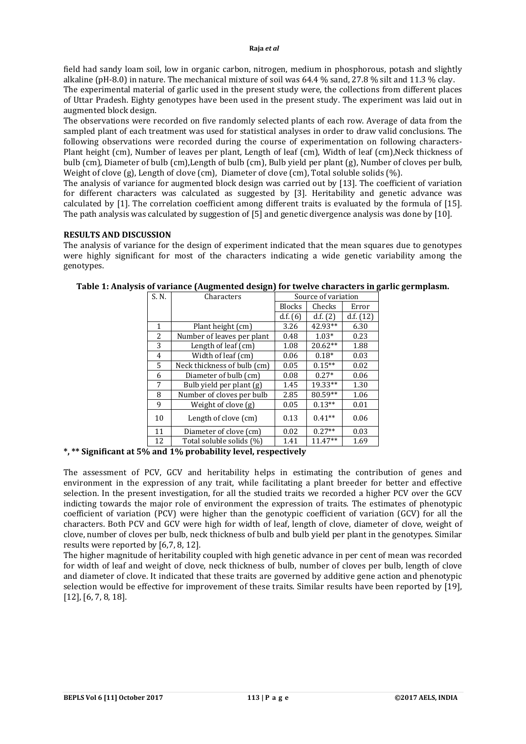field had sandy loam soil, low in organic carbon, nitrogen, medium in phosphorous, potash and slightly alkaline (pH-8.0) in nature. The mechanical mixture of soil was 64.4 % sand, 27.8 % silt and 11.3 % clay.

The experimental material of garlic used in the present study were, the collections from different places of Uttar Pradesh. Eighty genotypes have been used in the present study. The experiment was laid out in augmented block design.

The observations were recorded on five randomly selected plants of each row. Average of data from the sampled plant of each treatment was used for statistical analyses in order to draw valid conclusions. The following observations were recorded during the course of experimentation on following characters-Plant height (cm), Number of leaves per plant, Length of leaf (cm), Width of leaf (cm),Neck thickness of bulb (cm), Diameter of bulb (cm),Length of bulb (cm), Bulb yield per plant (g), Number of cloves per bulb, Weight of clove (g), Length of clove (cm), Diameter of clove (cm), Total soluble solids (%).

The analysis of variance for augmented block design was carried out by [13]. The coefficient of variation for different characters was calculated as suggested by [3]. Heritability and genetic advance was calculated by [1]. The correlation coefficient among different traits is evaluated by the formula of [15]. The path analysis was calculated by suggestion of [5] and genetic divergence analysis was done by [10].

# **RESULTS AND DISCUSSION**

The analysis of variance for the design of experiment indicated that the mean squares due to genotypes were highly significant for most of the characters indicating a wide genetic variability among the genotypes.

| S. N. | Characters                  |               | Source of variation |           |
|-------|-----------------------------|---------------|---------------------|-----------|
|       |                             | <b>Blocks</b> | Checks              | Error     |
|       |                             | d.f. (6)      | d.f. (2)            | d.f. (12) |
| 1     | Plant height (cm)           | 3.26          | 42.93**             | 6.30      |
| 2     | Number of leaves per plant  | 0.48          | $1.03*$             | 0.23      |
| 3     | Length of leaf (cm)         | 1.08          | $20.62**$           | 1.88      |
| 4     | Width of leaf (cm)          | 0.06          | $0.18*$             | 0.03      |
| 5     | Neck thickness of bulb (cm) | 0.05          | $0.15**$            | 0.02      |
| 6     | Diameter of bulb (cm)       | 0.08          | $0.27*$             | 0.06      |
| 7     | Bulb yield per plant (g)    | 1.45          | 19.33**             | 1.30      |
| 8     | Number of cloves per bulb   | 2.85          | 80.59**             | 1.06      |
| 9     | Weight of clove (g)         | 0.05          | $0.13**$            | 0.01      |
| 10    | Length of clove (cm)        | 0.13          | $0.41**$            | 0.06      |
| 11    | Diameter of clove (cm)      | 0.02          | $0.27**$            | 0.03      |
| 12    | Total soluble solids (%)    | 1.41          | $11.47**$           | 1.69      |

**Table 1: Analysis of variance (Augmented design) for twelve characters in garlic germplasm.**

**\*, \*\* Significant at 5% and 1% probability level, respectively**

The assessment of PCV, GCV and heritability helps in estimating the contribution of genes and environment in the expression of any trait, while facilitating a plant breeder for better and effective selection. In the present investigation, for all the studied traits we recorded a higher PCV over the GCV indicting towards the major role of environment the expression of traits. The estimates of phenotypic coefficient of variation (PCV) were higher than the genotypic coefficient of variation (GCV) for all the characters. Both PCV and GCV were high for width of leaf, length of clove, diameter of clove, weight of clove, number of cloves per bulb, neck thickness of bulb and bulb yield per plant in the genotypes. Similar results were reported by [6,7, 8, 12].

The higher magnitude of heritability coupled with high genetic advance in per cent of mean was recorded for width of leaf and weight of clove, neck thickness of bulb, number of cloves per bulb, length of clove and diameter of clove. It indicated that these traits are governed by additive gene action and phenotypic selection would be effective for improvement of these traits. Similar results have been reported by [19], [12], [6, 7, 8, 18].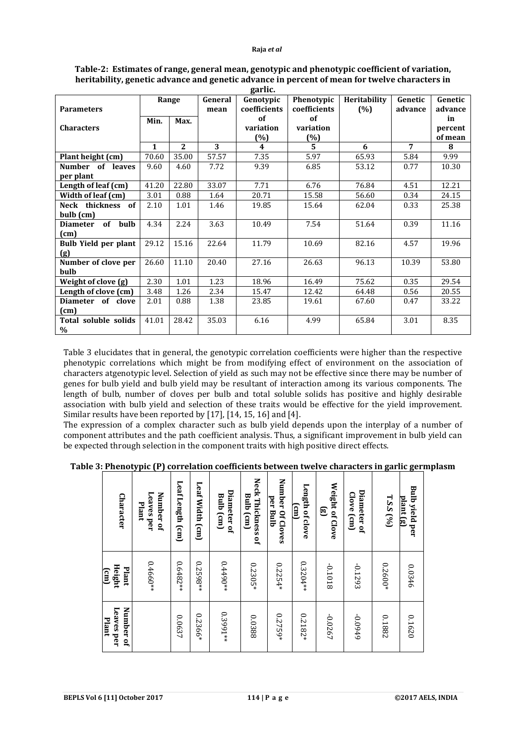|                             |              | Range        | General | $\mathbf{\Omega}$<br>Genotypic | Phenotypic         | Heritability | Genetic        | Genetic            |
|-----------------------------|--------------|--------------|---------|--------------------------------|--------------------|--------------|----------------|--------------------|
| <b>Parameters</b>           |              |              | mean    | coefficients<br>of             | coefficients<br>of | (%)          | advance        | advance            |
| <b>Characters</b>           | Min.         | Max.         |         | variation                      | variation          |              |                | in                 |
|                             |              |              |         |                                |                    |              |                | percent<br>of mean |
|                             | $\mathbf{1}$ | $\mathbf{2}$ | 3       | $(\%)$<br>4                    | (%)<br>5.          | 6            | $\overline{7}$ | 8                  |
|                             |              |              |         |                                |                    |              |                |                    |
| Plant height (cm)           | 70.60        | 35.00        | 57.57   | 7.35                           | 5.97               | 65.93        | 5.84           | 9.99               |
| Number of leaves            | 9.60         | 4.60         | 7.72    | 9.39                           | 6.85               | 53.12        | 0.77           | 10.30              |
| per plant                   |              |              |         |                                |                    |              |                |                    |
| Length of leaf (cm)         | 41.20        | 22.80        | 33.07   | 7.71                           | 6.76               | 76.84        | 4.51           | 12.21              |
| Width of leaf (cm)          | 3.01         | 0.88         | 1.64    | 20.71                          | 15.58              | 56.60        | 0.34           | 24.15              |
| Neck thickness of           | 2.10         | 1.01         | 1.46    | 19.85                          | 15.64              | 62.04        | 0.33           | 25.38              |
| bulb (cm)                   |              |              |         |                                |                    |              |                |                    |
| Diameter of bulb            | 4.34         | 2.24         | 3.63    | 10.49                          | 7.54               | 51.64        | 0.39           | 11.16              |
| (cm)                        |              |              |         |                                |                    |              |                |                    |
| <b>Bulb Yield per plant</b> | 29.12        | 15.16        | 22.64   | 11.79                          | 10.69              | 82.16        | 4.57           | 19.96              |
| (g)                         |              |              |         |                                |                    |              |                |                    |
| Number of clove per         | 26.60        | 11.10        | 20.40   | 27.16                          | 26.63              | 96.13        | 10.39          | 53.80              |
| bulb                        |              |              |         |                                |                    |              |                |                    |
| Weight of clove (g)         | 2.30         | 1.01         | 1.23    | 18.96                          | 16.49              | 75.62        | 0.35           | 29.54              |
| Length of clove (cm)        | 3.48         | 1.26         | 2.34    | 15.47                          | 12.42              | 64.48        | 0.56           | 20.55              |
| Diameter of clove           | 2.01         | 0.88         | 1.38    | 23.85                          | 19.61              | 67.60        | 0.47           | 33.22              |
| (cm)                        |              |              |         |                                |                    |              |                |                    |
| Total soluble solids        | 41.01        | 28.42        | 35.03   | 6.16                           | 4.99               | 65.84        | 3.01           | 8.35               |
| $\%$                        |              |              |         |                                |                    |              |                |                    |

### **Table-2: Estimates of range, general mean, genotypic and phenotypic coefficient of variation, heritability, genetic advance and genetic advance in percent of mean for twelve characters in garlic.**

Table 3 elucidates that in general, the genotypic correlation coefficients were higher than the respective phenotypic correlations which might be from modifying effect of environment on the association of characters atgenotypic level. Selection of yield as such may not be effective since there may be number of genes for bulb yield and bulb yield may be resultant of interaction among its various components. The length of bulb, number of cloves per bulb and total soluble solids has positive and highly desirable association with bulb yield and selection of these traits would be effective for the yield improvement. Similar results have been reported by [17], [14, 15, 16] and [4].

The expression of a complex character such as bulb yield depends upon the interplay of a number of component attributes and the path coefficient analysis. Thus, a significant improvement in bulb yield can be expected through selection in the component traits with high positive direct effects.

**Table 3: Phenotypic (P) correlation coefficients between twelve characters in garlic germplasm**

| <b>Character</b>                        | Leaves per<br>Number of<br>Plant | Leaf Length (cm) | Leaf Width (cm) | Diameter of<br><b>Bulb</b> (cm) | Neck Thickness of<br><b>Bulb</b> (cm) | Number Of Cloves<br>per Bulb | Length of clove<br>$\left(\mathrm{cm}\right)$ | Weight of Clove<br>ල | Diameter of<br>Clove (cm) | $T.S.S$ (%) | <b>Bulb yield per</b><br>plant (g) |
|-----------------------------------------|----------------------------------|------------------|-----------------|---------------------------------|---------------------------------------|------------------------------|-----------------------------------------------|----------------------|---------------------------|-------------|------------------------------------|
| Height<br>Plant<br>$\text{(\text{cm})}$ | $0.4660**$                       | $0.6482**$       | $0.2598**$      | $0.4490**$                      | $0.2305*$                             | $0.2254*$                    | $0.3204**$                                    | 81010-               | -0.1293                   | $0.2600*$   | 0.0346                             |
| Leaves per<br>Number of<br>Plant        |                                  | 0.0637           | 0.2366*         | 0.3991**                        | 0.0388                                | $0.2759*$                    | 0.2182*                                       | -0.0267              | 6+60'0-                   | 0.1882      | 0.1620                             |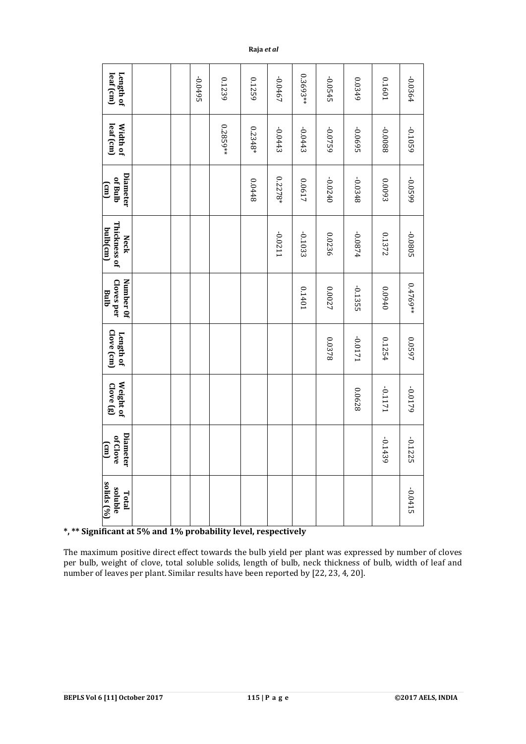|                                                                                                                                                                                                                                                                                                                                                                           | Length of<br>leaf (cm)                              |  |  | -0.0495 | 0.1239     | 0.1259    | -0.0467         | 0.3693**  | -0.0545   | 0.0349    | 0.1601    | -0.0364    |                   |
|---------------------------------------------------------------------------------------------------------------------------------------------------------------------------------------------------------------------------------------------------------------------------------------------------------------------------------------------------------------------------|-----------------------------------------------------|--|--|---------|------------|-----------|-----------------|-----------|-----------|-----------|-----------|------------|-------------------|
|                                                                                                                                                                                                                                                                                                                                                                           | leaf (cm)<br>Width of                               |  |  |         | $0.2859**$ | $0.2348*$ | -0.0443         | $-0.0443$ | -0.0759   | -0.0695   | 8800'0-   | -0.1059    |                   |
|                                                                                                                                                                                                                                                                                                                                                                           | Diameter<br>of Bulb<br>$\overline{\text{cm}}$       |  |  |         |            | 8448      | $0.2278*$       | 0.0617    | $-0.0240$ | -0.0348   | 0.0093    | 6650'0-    |                   |
|                                                                                                                                                                                                                                                                                                                                                                           | Thickness of<br>bulb(cm)<br><b>Neck</b>             |  |  |         |            |           | -0.0211         | $-0.1033$ | 0.0236    | +280.0-   | 0.1372    | -0.0805    |                   |
|                                                                                                                                                                                                                                                                                                                                                                           | Number 0f<br>Cloves per<br>Bulb                     |  |  |         |            |           |                 | 10+10     | 0.0027    | $-0.1355$ | 0+60'0    | $0.4769**$ |                   |
|                                                                                                                                                                                                                                                                                                                                                                           | Clove (cm)<br>Length of                             |  |  |         |            |           |                 |           | 82378     | 1710.0-   | 0.1254    | 0.0597     |                   |
|                                                                                                                                                                                                                                                                                                                                                                           | Weight of<br>Clove (g)                              |  |  |         |            |           |                 |           |           | 0.0628    | 1711.0    | -0.0179    |                   |
|                                                                                                                                                                                                                                                                                                                                                                           | Diamete<br>of Clove<br>$\left[\widehat{\Xi}\right]$ |  |  |         |            |           |                 |           |           |           | $-0.1439$ | $-0.1225$  |                   |
|                                                                                                                                                                                                                                                                                                                                                                           | solids (%)<br>soluble<br>Total                      |  |  |         |            |           |                 |           |           |           |           | $-0.0415$  |                   |
| *, ** Significant at 5% and 1% probability level, respectively<br>The maximum positive direct effect towards the bulb yield per plant was expressed by number of clove<br>per bulb, weight of clove, total soluble solids, length of bulb, neck thickness of bulb, width of leaf an<br>number of leaves per plant. Similar results have been reported by [22, 23, 4, 20]. |                                                     |  |  |         |            |           |                 |           |           |           |           |            |                   |
| <b>BEPLS Vol 6 [11] October 2017</b>                                                                                                                                                                                                                                                                                                                                      |                                                     |  |  |         |            |           | 115   $P$ a g e |           |           |           |           |            | ©2017 AELS, INDIA |

# **\*, \*\* Significant at 5% and 1% probability level, respectively**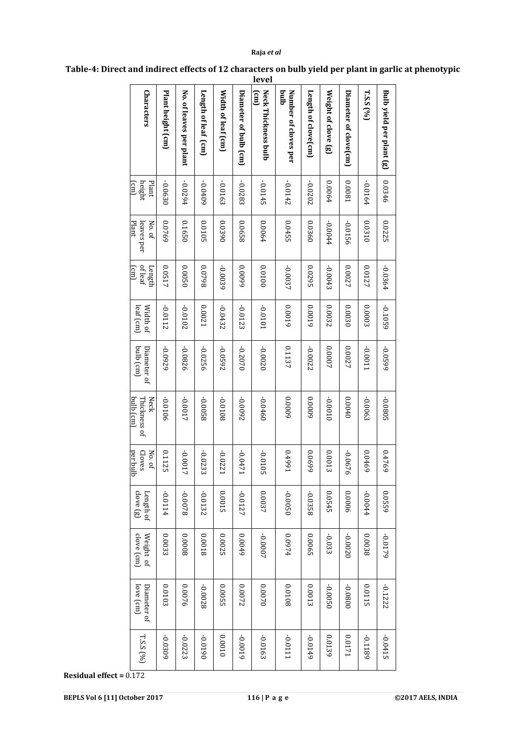# **Raja** *et al*

|                                          |                   |                         |                     |                    |                       | level                                     |                             |                     |                     |                        |           |                          |
|------------------------------------------|-------------------|-------------------------|---------------------|--------------------|-----------------------|-------------------------------------------|-----------------------------|---------------------|---------------------|------------------------|-----------|--------------------------|
| Characters                               | Plant height (cm) | No. of leaves per plant | Length of leaf (cm) | Width of leaf (cm) | Diameter of bulb (cm) | Neck Thickness bulb<br>$\epsilon_{\rm m}$ | qmq<br>Number of cloves per | Length of clove(cm) | Weight of clove (g) | Diameter of clove (cm) | T.S.S     | Bulb yield per plant (g) |
| Plant<br>height<br>$\left( \min \right)$ | $-0.0630$         | -0.0294                 | $-0.0409$           | -0.0163            | -0.0283               | $-0.0145$                                 | $-0.0142$                   | $-0.0202$           | 0.0064              | 1800'0                 | -0.0164   | 0.0346                   |
| Plant<br>leaves per<br>No. of            | 0.0769            | 0.1650                  | 0.0105              | 0'0390             | 0.0658                | 0.0064                                    | 0.0455                      | 0.0360              | $-0.0044$           | -0.0156                | 0.0310    | 0.0225                   |
| of leaf<br>Length<br>(cm)                | 0.0517            | 050050                  | 8620'0              | -0.0039            | 0.0099                | 0.0100                                    | -0.0037                     | 0.0295              | $-0.0043$           | 0.0027                 | 0.0127    | -0.0364                  |
| leaf (cm)<br>Width of                    | -0.0112           | 20102                   | 0.0021              | $-0.0432$          | $-0.0123$             | 1010'0                                    | 0.0019                      | 0.0019              | 0.0032              | 0.0030                 | 0.0003    | -0.1059                  |
| bulb (cm)<br>Diameter of                 | 6Z60'0-           | -0.0826                 | $-0.0256$           | $-0.0592$          | $-0.2070$             | $-0.0020$                                 | 0.1137                      | $-0.0022$           | 0.0007              | 0.0027                 | 1100.0    | 6650'0-                  |
| bulb (cm)<br>Thickness of<br><b>Neck</b> | -0.0106           | -0.0017                 | 8500.0-             | 8010'0-            | 2600'0-               | 09+0'0-                                   | 0.0009                      | 0.0009              | 0.0010              | 0.0040                 | $-0.0063$ | -0.0805                  |
| per bulb<br>Cloves<br>No. of             | 0.1125            | $-0.0017$               | $-0.0233$           | $-0.022$           | $-0.047$              | $-0.0105$                                 | 166+70                      | 0.0699              | 0.0013              | -0.0676                | 0.0469    | 0.4769                   |
| clove (g)<br>Length of                   | +110.0-           | 8200.0-                 | -0.0132             | 0.0015             | -0.0127               | 0.0037                                    | 050050                      | -0.0358             | 0.0545              | 0.0006                 | 10.044    | 0.0559                   |
| clove (cm)<br>Weight of                  | 0.0033            | 80000                   | 81000               | 0.0025             | 0.0049                | -0.0007                                   | 4760.0                      | 0.0065              | $-0.033$            | -0.0020                | 8800.0    | -0.0179                  |
| love (cm)<br>Diameter of                 | 0.0103            | 0.0076                  | -0.0028             | 0.0055             | 0.0072                | 020000                                    | 0.0108                      | 0.0013              | $-0.0050$           | 0080'0-                | 0.0115    | $-0.1222$                |
| $T.S.S$ (%)                              | -0.0309           | $-0.0223$               | 0610'0-             | 0100'0             | 6100'0-               | -0.0163                                   | 1110'0-                     | -0.0149             | 0.0139              | 1710.0                 | 68110     | $-0.0415$                |

**Table-4: Direct and indirect effects of 12 characters on bulb yield per plant in garlic at phenotypic** 

**Residual effect =** 0.172